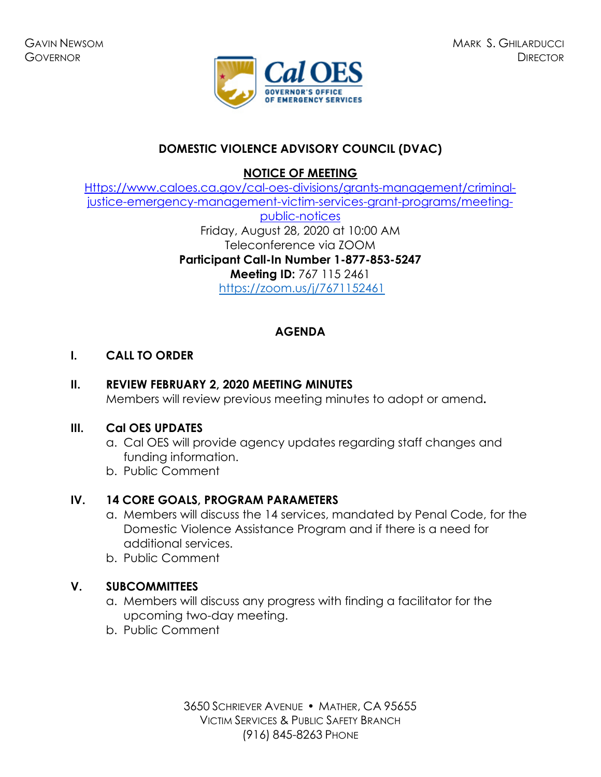

# **DOMESTIC VIOLENCE ADVISORY COUNCIL (DVAC)**

**NOTICE OF MEETING** 

[Https://www.caloes.ca.gov/cal-oes-divisions/grants-management/criminal](https://www.caloes.ca.gov/cal-oes-divisions/grants-management/criminal-justice-emergency-management-victim-services-grant-programs/meeting-public-notices)[justice-emergency-management-victim-services-grant-programs/meeting-](https://www.caloes.ca.gov/cal-oes-divisions/grants-management/criminal-justice-emergency-management-victim-services-grant-programs/meeting-public-notices)

> [public-notices](https://www.caloes.ca.gov/cal-oes-divisions/grants-management/criminal-justice-emergency-management-victim-services-grant-programs/meeting-public-notices) Friday, August 28, 2020 at 10:00 AM Teleconference via ZOOM **Participant Call-In Number 1-877-853-5247 Meeting ID:** 767 115 2461 <https://zoom.us/j/7671152461>

## **AGENDA**

## **I. CALL TO ORDER**

## **II. REVIEW FEBRUARY 2, 2020 MEETING MINUTES**

Members will review previous meeting minutes to adopt or amend**.** 

### **III. Cal OES UPDATES**

- a. Cal OES will provide agency updates regarding staff changes and funding information.
- b. Public Comment

## **IV. 14 CORE GOALS, PROGRAM PARAMETERS**

- a. Members will discuss the 14 services, mandated by Penal Code, for the Domestic Violence Assistance Program and if there is a need for additional services.
- b. Public Comment

## **V. SUBCOMMITTEES**

- a. Members will discuss any progress with finding a facilitator for the upcoming two-day meeting.
- b. Public Comment

3650 SCHRIEVER AVENUE MATHER, CA 95655 VICTIM SERVICES & PUBLIC SAFETY BRANCH (916) 845-8263 PHONE